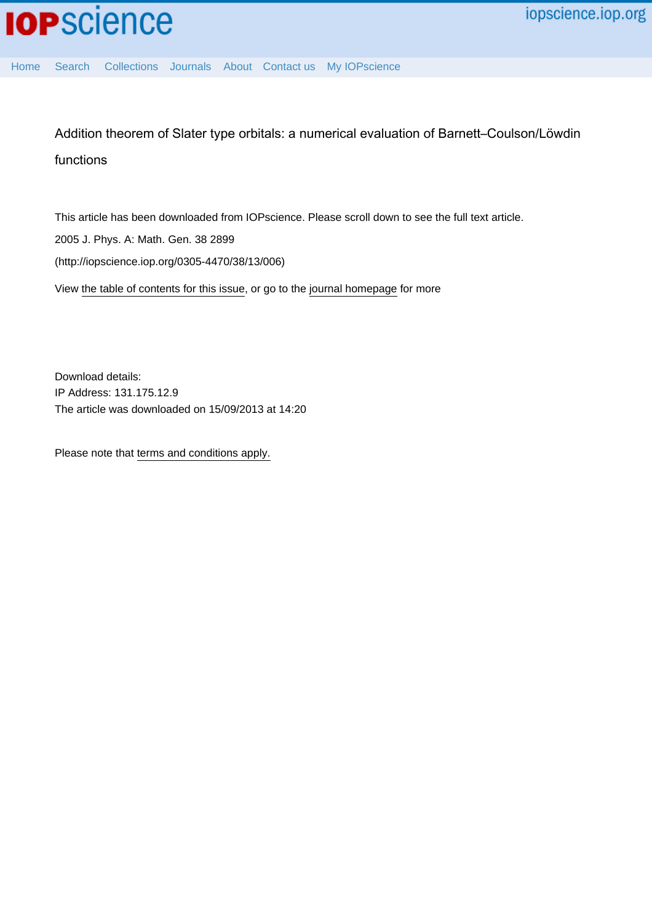Addition theorem of Slater type orbitals: a numerical evaluation of Barnett–Coulson/Löwdin functions

This article has been downloaded from IOPscience. Please scroll down to see the full text article. 2005 J. Phys. A: Math. Gen. 38 2899 (http://iopscience.iop.org/0305-4470/38/13/006) View [the table of contents for this issue](http://iopscience.iop.org/0305-4470/38/13), or go to the [journal homepage](http://iopscience.iop.org/0305-4470) for more

Download details: IP Address: 131.175.12.9 The article was downloaded on 15/09/2013 at 14:20

Please note that [terms and conditions apply.](http://iopscience.iop.org/page/terms)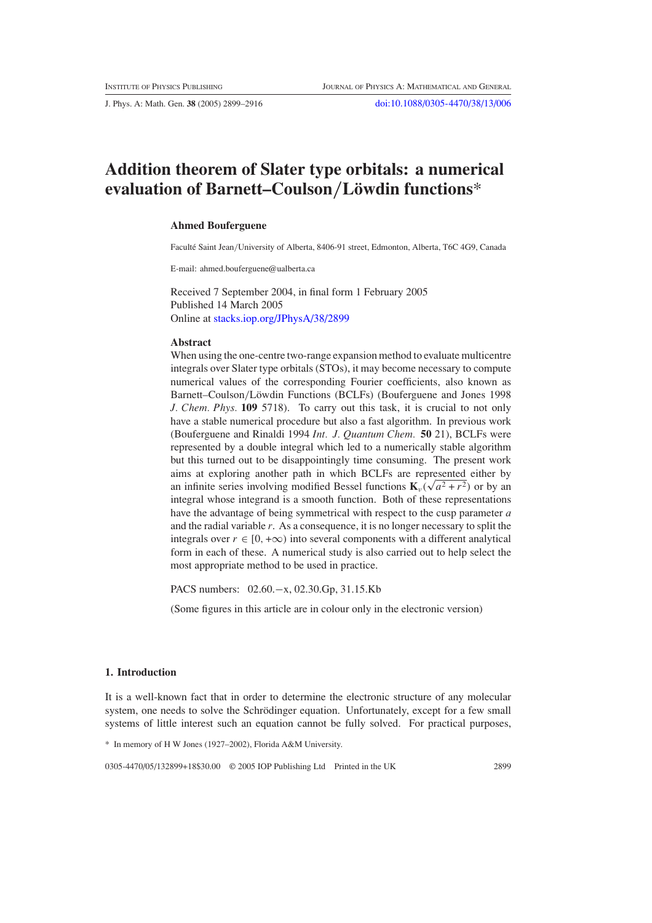J. Phys. A: Math. Gen. **38** (2005) 2899–2916 [doi:10.1088/0305-4470/38/13/006](http://dx.doi.org/10.1088/0305-4470/38/13/006)

# **Addition theorem of Slater type orbitals: a numerical evaluation of Barnett–Coulson***/***Lowdin functions ¨** \*

#### **Ahmed Bouferguene**

Faculté Saint Jean/University of Alberta, 8406-91 street, Edmonton, Alberta, T6C 4G9, Canada

E-mail: ahmed.bouferguene@ualberta.ca

Received 7 September 2004, in final form 1 February 2005 Published 14 March 2005 Online at [stacks.iop.org/JPhysA/38/2899](http://stacks.iop.org/ja/38/2899)

#### **Abstract**

When using the one-centre two-range expansion method to evaluate multicentre integrals over Slater type orbitals (STOs), it may become necessary to compute numerical values of the corresponding Fourier coefficients, also known as Barnett–Coulson/Löwdin Functions (BCLFs) (Bouferguene and Jones 1998 *J. Chem. Phys.* **109** 5718). To carry out this task, it is crucial to not only have a stable numerical procedure but also a fast algorithm. In previous work (Bouferguene and Rinaldi 1994 *Int. J. Quantum Chem.* **50** 21), BCLFs were represented by a double integral which led to a numerically stable algorithm but this turned out to be disappointingly time consuming. The present work aims at exploring another path in which BCLFs are represented either by an infinite series involving modified Bessel functions  $\mathbf{K}_{\nu}(\sqrt{a^2 + r^2})$  or by an integral whose integrand is a smooth function. Both of these representations have the advantage of being symmetrical with respect to the cusp parameter *a* and the radial variable *r*. As a consequence, it is no longer necessary to split the integrals over  $r \in [0, +\infty)$  into several components with a different analytical form in each of these. A numerical study is also carried out to help select the most appropriate method to be used in practice.

PACS numbers: 02.60.−x, 02.30.Gp, 31.15.Kb

(Some figures in this article are in colour only in the electronic version)

### **1. Introduction**

It is a well-known fact that in order to determine the electronic structure of any molecular system, one needs to solve the Schrödinger equation. Unfortunately, except for a few small systems of little interest such an equation cannot be fully solved. For practical purposes,

\* In memory of H W Jones (1927–2002), Florida A&M University.

0305-4470/05/132899+18\$30.00 © 2005 IOP Publishing Ltd Printed in the UK 2899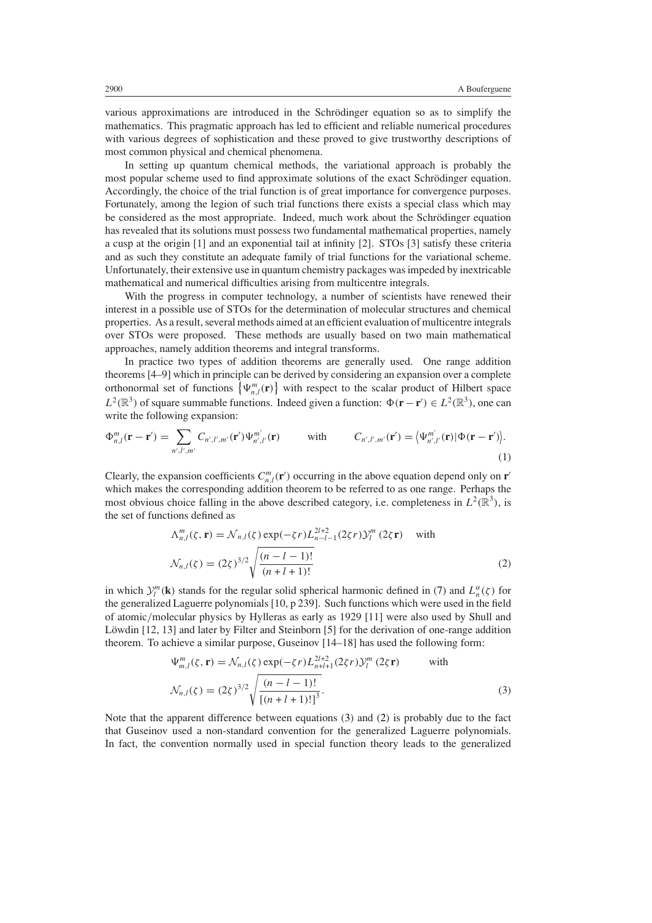various approximations are introduced in the Schrödinger equation so as to simplify the mathematics. This pragmatic approach has led to efficient and reliable numerical procedures with various degrees of sophistication and these proved to give trustworthy descriptions of most common physical and chemical phenomena.

In setting up quantum chemical methods, the variational approach is probably the most popular scheme used to find approximate solutions of the exact Schrödinger equation. Accordingly, the choice of the trial function is of great importance for convergence purposes. Fortunately, among the legion of such trial functions there exists a special class which may be considered as the most appropriate. Indeed, much work about the Schrödinger equation has revealed that its solutions must possess two fundamental mathematical properties, namely a cusp at the origin [1] and an exponential tail at infinity [2]. STOs [3] satisfy these criteria and as such they constitute an adequate family of trial functions for the variational scheme. Unfortunately, their extensive use in quantum chemistry packages was impeded by inextricable mathematical and numerical difficulties arising from multicentre integrals.

With the progress in computer technology, a number of scientists have renewed their interest in a possible use of STOs for the determination of molecular structures and chemical properties. As a result, several methods aimed at an efficient evaluation of multicentre integrals over STOs were proposed. These methods are usually based on two main mathematical approaches, namely addition theorems and integral transforms.

In practice two types of addition theorems are generally used. One range addition theorems [4–9] which in principle can be derived by considering an expansion over a complete orthonormal set of functions  $\{\Psi_{n,l}^m(\mathbf{r})\}$  with respect to the scalar product of Hilbert space *L*<sup>2</sup>( $\mathbb{R}^3$ ) of square summable functions. Indeed given a function:  $\Phi(\mathbf{r} - \mathbf{r}') \in L^2(\mathbb{R}^3)$ , one can write the following expansion:

$$
\Phi_{n,l}^m(\mathbf{r}-\mathbf{r}') = \sum_{n',l',m'} C_{n',l',m'}(\mathbf{r}') \Psi_{n',l'}^{m'}(\mathbf{r}) \qquad \text{with} \qquad C_{n',l',m'}(\mathbf{r}') = \left\langle \Psi_{n',l'}^{m'}(\mathbf{r}) | \Phi(\mathbf{r}-\mathbf{r}') \right\rangle. \tag{1}
$$

Clearly, the expansion coefficients  $C_{n,l}^m(\mathbf{r}')$  occurring in the above equation depend only on  $\mathbf{r}'$ which makes the corresponding addition theorem to be referred to as one range. Perhaps the most obvious choice falling in the above described category, i.e. completeness in  $L^2(\mathbb{R}^3)$ , is the set of functions defined as

$$
\Delta_{n,l}^{m}(\zeta, \mathbf{r}) = \mathcal{N}_{n,l}(\zeta) \exp(-\zeta r) L_{n-l-1}^{2l+2} (2\zeta r) \mathcal{Y}_{l}^{m} (2\zeta \mathbf{r}) \text{ with}
$$
  

$$
\mathcal{N}_{n,l}(\zeta) = (2\zeta)^{3/2} \sqrt{\frac{(n-l-1)!}{(n+l+1)!}}
$$
(2)

<span id="page-2-1"></span>in which  $\mathcal{Y}_l^m(\mathbf{k})$  stands for the regular solid spherical harmonic defined in [\(7\)](#page-4-0) and  $L_n^{\alpha}(\zeta)$  for the generalized Laguerre polynomials [10, p 239]. Such functions which were used in the field of atomic*/*molecular physics by Hylleras as early as 1929 [11] were also used by Shull and Löwdin  $[12, 13]$  and later by Filter and Steinborn  $[5]$  for the derivation of one-range addition theorem. To achieve a similar purpose, Guseinov [14–18] has used the following form:

$$
\Psi_{m,l}^{m}(\zeta, \mathbf{r}) = \mathcal{N}_{n,l}(\zeta) \exp(-\zeta r) L_{n+l+1}^{2l+2} (2\zeta r) \mathcal{Y}_{l}^{m} (2\zeta \mathbf{r}) \quad \text{with}
$$
\n
$$
\mathcal{N}_{n,l}(\zeta) = (2\zeta)^{3/2} \sqrt{\frac{(n-l-1)!}{[(n+l+1)!]^{3}}}.
$$
\n(3)

<span id="page-2-0"></span>Note that the apparent difference between equations [\(3\)](#page-2-0) and [\(2\)](#page-2-1) is probably due to the fact that Guseinov used a non-standard convention for the generalized Laguerre polynomials. In fact, the convention normally used in special function theory leads to the generalized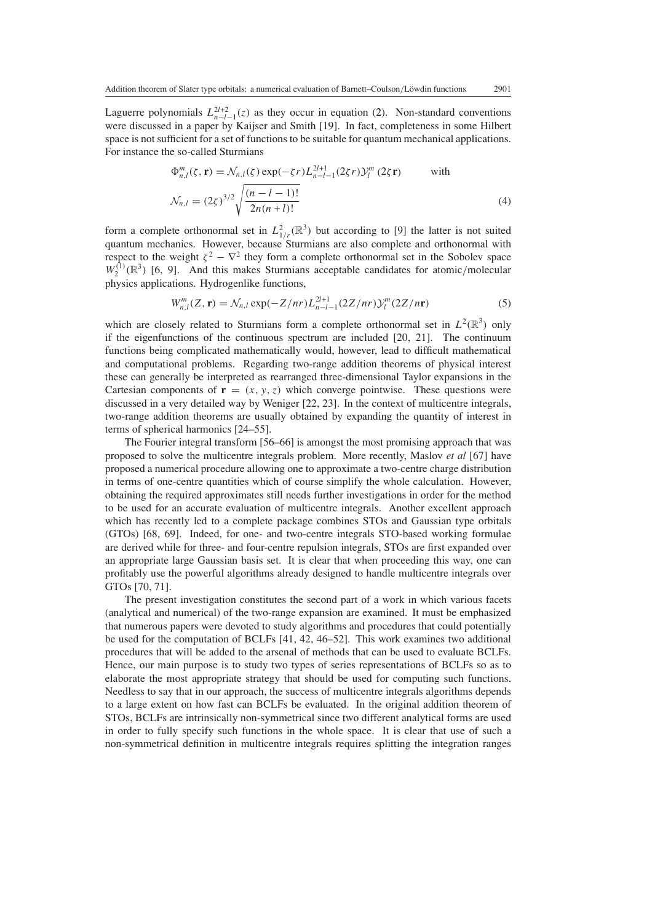Laguerre polynomials  $L_{n-l-1}^{2l+2}(z)$  as they occur in equation [\(2\)](#page-2-1). Non-standard conventions were discussed in a paper by Kaijser and Smith [19]. In fact, completeness in some Hilbert space is not sufficient for a set of functions to be suitable for quantum mechanical applications. For instance the so-called Sturmians

$$
\Phi_{n,l}^{m}(\zeta, \mathbf{r}) = \mathcal{N}_{n,l}(\zeta) \exp(-\zeta r) L_{n-l-1}^{2l+1} (2\zeta r) \mathcal{Y}_{l}^{m} (2\zeta \mathbf{r}) \quad \text{with}
$$
\n
$$
\mathcal{N}_{n,l} = (2\zeta)^{3/2} \sqrt{\frac{(n-l-1)!}{2n(n+l)!}} \tag{4}
$$

form a complete orthonormal set in  $L^2_{1/r}(\mathbb{R}^3)$  but according to [9] the latter is not suited quantum mechanics. However, because Sturmians are also complete and orthonormal with respect to the weight  $\zeta^2 - \nabla^2$  they form a complete orthonormal set in the Sobolev space  $W_2^{(1)}(\mathbb{R}^3)$  [6, 9]. And this makes Sturmians acceptable candidates for atomic/molecular physics applications. Hydrogenlike functions,

$$
W_{n,l}^m(Z, \mathbf{r}) = \mathcal{N}_{n,l} \exp(-Z/nr) L_{n-l-1}^{2l+1}(2Z/nr) \mathcal{Y}_l^m(2Z/n\mathbf{r})
$$
 (5)

which are closely related to Sturmians form a complete orthonormal set in  $L^2(\mathbb{R}^3)$  only if the eigenfunctions of the continuous spectrum are included [20, 21]. The continuum functions being complicated mathematically would, however, lead to difficult mathematical and computational problems. Regarding two-range addition theorems of physical interest these can generally be interpreted as rearranged three-dimensional Taylor expansions in the Cartesian components of  $\mathbf{r} = (x, y, z)$  which converge pointwise. These questions were discussed in a very detailed way by Weniger [22, 23]. In the context of multicentre integrals, two-range addition theorems are usually obtained by expanding the quantity of interest in terms of spherical harmonics [24–55].

The Fourier integral transform [56–66] is amongst the most promising approach that was proposed to solve the multicentre integrals problem. More recently, Maslov *et al* [67] have proposed a numerical procedure allowing one to approximate a two-centre charge distribution in terms of one-centre quantities which of course simplify the whole calculation. However, obtaining the required approximates still needs further investigations in order for the method to be used for an accurate evaluation of multicentre integrals. Another excellent approach which has recently led to a complete package combines STOs and Gaussian type orbitals (GTOs) [68, 69]. Indeed, for one- and two-centre integrals STO-based working formulae are derived while for three- and four-centre repulsion integrals, STOs are first expanded over an appropriate large Gaussian basis set. It is clear that when proceeding this way, one can profitably use the powerful algorithms already designed to handle multicentre integrals over GTOs [70, 71].

The present investigation constitutes the second part of a work in which various facets (analytical and numerical) of the two-range expansion are examined. It must be emphasized that numerous papers were devoted to study algorithms and procedures that could potentially be used for the computation of BCLFs [41, 42, 46–52]. This work examines two additional procedures that will be added to the arsenal of methods that can be used to evaluate BCLFs. Hence, our main purpose is to study two types of series representations of BCLFs so as to elaborate the most appropriate strategy that should be used for computing such functions. Needless to say that in our approach, the success of multicentre integrals algorithms depends to a large extent on how fast can BCLFs be evaluated. In the original addition theorem of STOs, BCLFs are intrinsically non-symmetrical since two different analytical forms are used in order to fully specify such functions in the whole space. It is clear that use of such a non-symmetrical definition in multicentre integrals requires splitting the integration ranges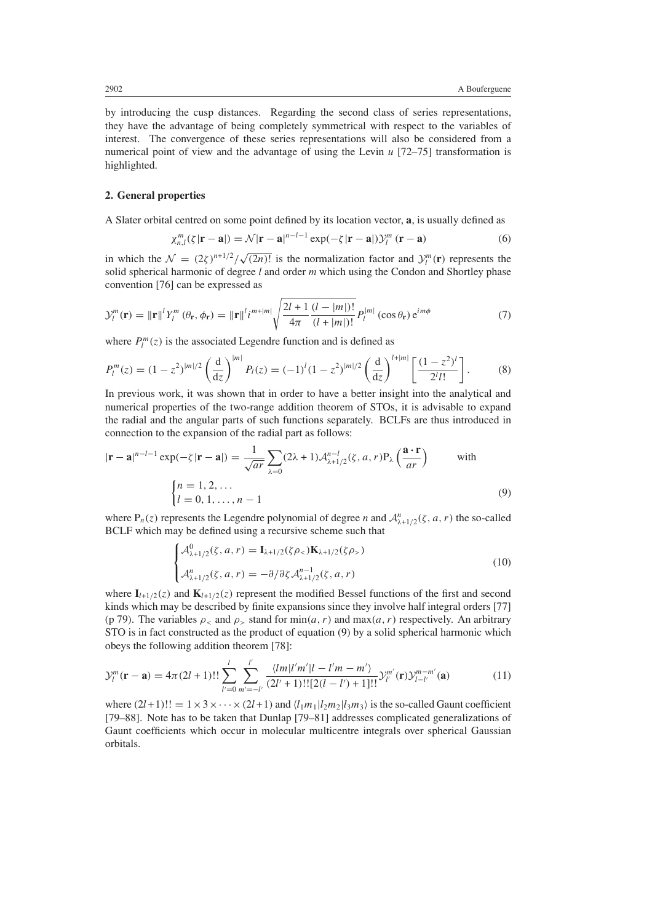by introducing the cusp distances. Regarding the second class of series representations, they have the advantage of being completely symmetrical with respect to the variables of interest. The convergence of these series representations will also be considered from a numerical point of view and the advantage of using the Levin *u* [72–75] transformation is highlighted.

#### **2. General properties**

A Slater orbital centred on some point defined by its location vector, **a**, is usually defined as

$$
\chi_{n,l}^m(\zeta|\mathbf{r}-\mathbf{a}|) = \mathcal{N}|\mathbf{r}-\mathbf{a}|^{n-l-1} \exp(-\zeta|\mathbf{r}-\mathbf{a}|) \mathcal{Y}_l^m(\mathbf{r}-\mathbf{a}) \tag{6}
$$

in which the  $\mathcal{N} = (2\zeta)^{n+1/2}/\sqrt{(2n)!}$  is the normalization factor and  $\mathcal{Y}_l^m(\mathbf{r})$  represents the solid spherical harmonic of degree *l* and order *m* which using the Condon and Shortley phase convention [76] can be expressed as

<span id="page-4-0"></span>
$$
\mathcal{Y}_l^m(\mathbf{r}) = \|\mathbf{r}\|^{l} Y_l^m(\theta_{\mathbf{r}}, \phi_{\mathbf{r}}) = \|\mathbf{r}\|^{l} i^{m+|m|} \sqrt{\frac{2l+1}{4\pi} \frac{(l-|m|)!}{(l+|m|)!}} P_l^{|m|}(\cos \theta_{\mathbf{r}}) e^{im\phi}
$$
(7)

where  $P_l^m(z)$  is the associated Legendre function and is defined as

$$
P_l^m(z) = (1 - z^2)^{|m|/2} \left(\frac{d}{dz}\right)^{|m|} P_l(z) = (-1)^l (1 - z^2)^{|m|/2} \left(\frac{d}{dz}\right)^{l+|m|} \left[\frac{(1 - z^2)^l}{2^l l!}\right].
$$
 (8)

In previous work, it was shown that in order to have a better insight into the analytical and numerical properties of the two-range addition theorem of STOs, it is advisable to expand the radial and the angular parts of such functions separately. BCLFs are thus introduced in connection to the expansion of the radial part as follows:

<span id="page-4-1"></span>
$$
|\mathbf{r} - \mathbf{a}|^{n-l-1} \exp(-\zeta |\mathbf{r} - \mathbf{a}|) = \frac{1}{\sqrt{ar}} \sum_{\lambda=0} (2\lambda + 1) \mathcal{A}_{\lambda+1/2}^{n-l}(\zeta, a, r) P_{\lambda} \left(\frac{\mathbf{a} \cdot \mathbf{r}}{ar}\right) \quad \text{with}
$$

$$
\begin{cases} n = 1, 2, \dots \\ l = 0, 1, \dots, n-1 \end{cases} \tag{9}
$$

<span id="page-4-2"></span>where  $P_n(z)$  represents the Legendre polynomial of degree *n* and  $A_{\lambda+1/2}^n(\zeta, a, r)$  the so-called BCLF which may be defined using a recursive scheme such that

$$
\begin{cases} \mathcal{A}^0_{\lambda+1/2}(\zeta, a, r) = \mathbf{I}_{\lambda+1/2}(\zeta \rho_<) \mathbf{K}_{\lambda+1/2}(\zeta \rho_>) \\ \mathcal{A}^n_{\lambda+1/2}(\zeta, a, r) = -\partial/\partial \zeta \mathcal{A}^{n-1}_{\lambda+1/2}(\zeta, a, r) \end{cases}
$$
(10)

where  $I_{l+1/2}(z)$  and  $K_{l+1/2}(z)$  represent the modified Bessel functions of the first and second kinds which may be described by finite expansions since they involve half integral orders [77] (p 79). The variables  $\rho_{\le}$  and  $\rho_{\ge}$  stand for min $(a, r)$  and max $(a, r)$  respectively. An arbitrary STO is in fact constructed as the product of equation [\(9\)](#page-4-1) by a solid spherical harmonic which obeys the following addition theorem [78]:

<span id="page-4-3"></span>
$$
\mathcal{Y}_l^m(\mathbf{r}-\mathbf{a}) = 4\pi (2l+1)!! \sum_{l'=0}^l \sum_{m'= -l'}^{l'} \frac{\langle lm|l'm'|l-l'm-m'\rangle}{(2l'+1)!![2(l-l')+1]!!} \mathcal{Y}_{l'}^{m'}(\mathbf{r}) \mathcal{Y}_{l-l'}^{m-m'}(\mathbf{a})
$$
(11)

where  $(2l+1)!! = 1 \times 3 \times \cdots \times (2l+1)$  and  $\langle l_1 m_1 | l_2 m_2 | l_3 m_3 \rangle$  is the so-called Gaunt coefficient [79–88]. Note has to be taken that Dunlap [79–81] addresses complicated generalizations of Gaunt coefficients which occur in molecular multicentre integrals over spherical Gaussian orbitals.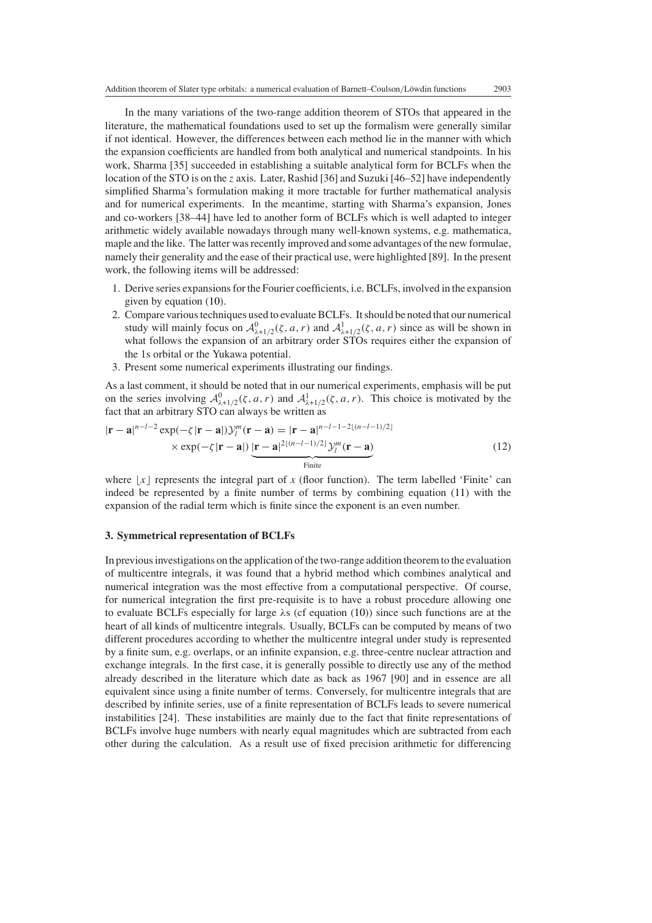In the many variations of the two-range addition theorem of STOs that appeared in the literature, the mathematical foundations used to set up the formalism were generally similar if not identical. However, the differences between each method lie in the manner with which the expansion coefficients are handled from both analytical and numerical standpoints. In his work, Sharma [35] succeeded in establishing a suitable analytical form for BCLFs when the location of the STO is on the *z* axis. Later, Rashid [36] and Suzuki [46–52] have independently simplified Sharma's formulation making it more tractable for further mathematical analysis and for numerical experiments. In the meantime, starting with Sharma's expansion, Jones and co-workers [38–44] have led to another form of BCLFs which is well adapted to integer arithmetic widely available nowadays through many well-known systems, e.g. mathematica, maple and the like. The latter was recently improved and some advantages of the new formulae, namely their generality and the ease of their practical use, were highlighted [89]. In the present work, the following items will be addressed:

- 1. Derive series expansions for the Fourier coefficients, i.e. BCLFs, involved in the expansion given by equation [\(10\)](#page-4-2).
- 2. Compare various techniques used to evaluate BCLFs. It should be noted that our numerical study will mainly focus on  $\mathcal{A}^0_{\lambda+1/2}(\zeta, a, r)$  and  $\mathcal{A}^1_{\lambda+1/2}(\zeta, a, r)$  since as will be shown in what follows the expansion of an arbitrary order STOs requires either the expansion of the 1s orbital or the Yukawa potential.
- 3. Present some numerical experiments illustrating our findings.

As a last comment, it should be noted that in our numerical experiments, emphasis will be put on the series involving  $A^0_{\lambda+1/2}(\zeta, a, r)$  and  $A^1_{\lambda+1/2}(\zeta, a, r)$ . This choice is motivated by the fact that an arbitrary STO can always be written as

$$
|\mathbf{r} - \mathbf{a}|^{n-l-2} \exp(-\zeta |\mathbf{r} - \mathbf{a}|) \mathcal{Y}_l^m(\mathbf{r} - \mathbf{a}) = |\mathbf{r} - \mathbf{a}|^{n-l-1-2\lfloor (n-l-1)/2 \rfloor} \times \exp(-\zeta |\mathbf{r} - \mathbf{a}|) \underbrace{|\mathbf{r} - \mathbf{a}|^{2\lfloor (n-l-1)/2 \rfloor} \mathcal{Y}_l^m(\mathbf{r} - \mathbf{a})}_{\text{Finite}} \tag{12}
$$

where  $\lfloor x \rfloor$  represents the integral part of *x* (floor function). The term labelled 'Finite' can indeed be represented by a finite number of terms by combining equation [\(11\)](#page-4-3) with the expansion of the radial term which is finite since the exponent is an even number.

#### **3. Symmetrical representation of BCLFs**

In previous investigations on the application of the two-range addition theorem to the evaluation of multicentre integrals, it was found that a hybrid method which combines analytical and numerical integration was the most effective from a computational perspective. Of course, for numerical integration the first pre-requisite is to have a robust procedure allowing one to evaluate BCLFs especially for large *λ*s (cf equation [\(10\)](#page-4-2)) since such functions are at the heart of all kinds of multicentre integrals. Usually, BCLFs can be computed by means of two different procedures according to whether the multicentre integral under study is represented by a finite sum, e.g. overlaps, or an infinite expansion, e.g. three-centre nuclear attraction and exchange integrals. In the first case, it is generally possible to directly use any of the method already described in the literature which date as back as 1967 [90] and in essence are all equivalent since using a finite number of terms. Conversely, for multicentre integrals that are described by infinite series, use of a finite representation of BCLFs leads to severe numerical instabilities [24]. These instabilities are mainly due to the fact that finite representations of BCLFs involve huge numbers with nearly equal magnitudes which are subtracted from each other during the calculation. As a result use of fixed precision arithmetic for differencing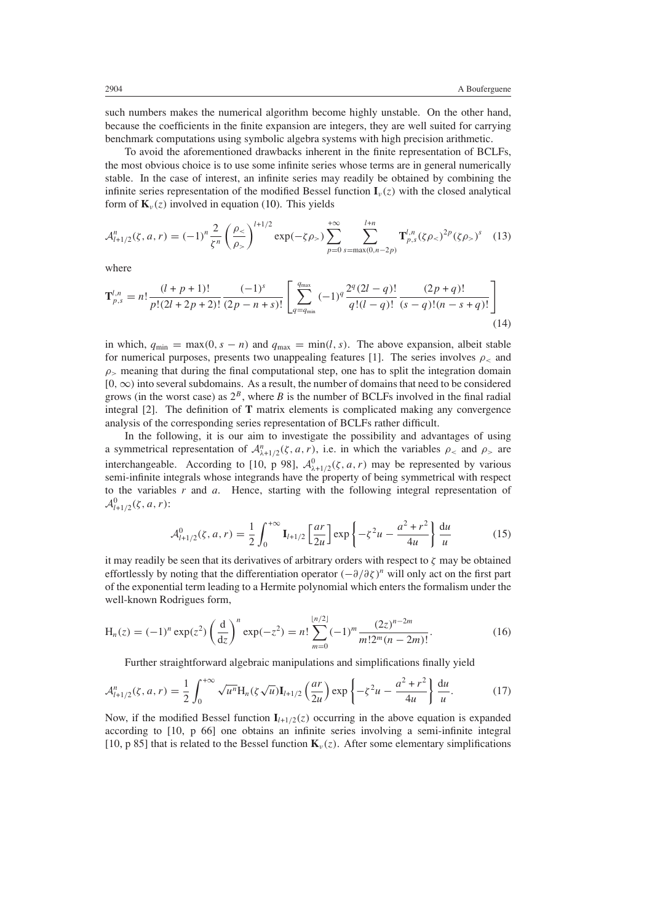such numbers makes the numerical algorithm become highly unstable. On the other hand, because the coefficients in the finite expansion are integers, they are well suited for carrying benchmark computations using symbolic algebra systems with high precision arithmetic.

To avoid the aforementioned drawbacks inherent in the finite representation of BCLFs, the most obvious choice is to use some infinite series whose terms are in general numerically stable. In the case of interest, an infinite series may readily be obtained by combining the infinite series representation of the modified Bessel function  $I_{\nu}(z)$  with the closed analytical form of  $\mathbf{K}_v(z)$  involved in equation [\(10\)](#page-4-2). This yields

<span id="page-6-1"></span>
$$
\mathcal{A}_{l+1/2}^n(\zeta, a, r) = (-1)^n \frac{2}{\zeta^n} \left( \frac{\rho_{\le}}{\rho_{>}} \right)^{l+1/2} \exp(-\zeta \rho_{>}) \sum_{p=0}^{+\infty} \sum_{s=\max(0, n-2p)}^{\infty} \mathbf{T}_{p,s}^{l,n} (\zeta \rho_{<})^{2p} (\zeta \rho_{>})^s \tag{13}
$$

where

$$
\mathbf{T}_{p,s}^{l,n} = n! \frac{(l+p+1)!}{p!(2l+2p+2)!} \frac{(-1)^s}{(2p-n+s)!} \left[ \sum_{q=q_{\min}}^{q_{\max}} (-1)^q \frac{2^q (2l-q)!}{q!(l-q)!} \frac{(2p+q)!}{(s-q)!(n-s+q)!} \right]
$$
(14)

in which,  $q_{min} = max(0, s - n)$  and  $q_{max} = min(l, s)$ . The above expansion, albeit stable for numerical purposes, presents two unappealing features [1]. The series involves  $\rho_{\leq}$  and  $\rho$ <sub>></sub> meaning that during the final computational step, one has to split the integration domain [0*,*∞*)* into several subdomains. As a result, the number of domains that need to be considered grows (in the worst case) as  $2^B$ , where *B* is the number of BCLFs involved in the final radial integral [2]. The definition of **T** matrix elements is complicated making any convergence analysis of the corresponding series representation of BCLFs rather difficult.

In the following, it is our aim to investigate the possibility and advantages of using a symmetrical representation of  $A_{\lambda+1/2}^n(\zeta, a, r)$ , i.e. in which the variables  $\rho_{\leq}$  and  $\rho_{\geq}$  are interchangeable. According to [10, p 98],  $\mathcal{A}^0_{\lambda+1/2}(\zeta, a, r)$  may be represented by various semi-infinite integrals whose integrands have the property of being symmetrical with respect to the variables *r* and *a*. Hence, starting with the following integral representation of  $\mathcal{A}_{l+1/2}^{0}(\zeta, a, r)$ :

$$
\mathcal{A}_{l+1/2}^{0}(\zeta, a, r) = \frac{1}{2} \int_{0}^{+\infty} \mathbf{I}_{l+1/2} \left[ \frac{ar}{2u} \right] \exp\left\{-\zeta^{2} u - \frac{a^{2} + r^{2}}{4u} \right\} \frac{du}{u}
$$
(15)

it may readily be seen that its derivatives of arbitrary orders with respect to *ζ* may be obtained effortlessly by noting that the differentiation operator  $(-\partial/\partial \zeta)^n$  will only act on the first part of the exponential term leading to a Hermite polynomial which enters the formalism under the well-known Rodrigues form,

$$
H_n(z) = (-1)^n \exp(z^2) \left(\frac{d}{dz}\right)^n \exp(-z^2) = n! \sum_{m=0}^{\lfloor n/2 \rfloor} (-1)^m \frac{(2z)^{n-2m}}{m! 2^m (n-2m)!}.
$$
 (16)

Further straightforward algebraic manipulations and simplifications finally yield

<span id="page-6-0"></span>
$$
\mathcal{A}_{l+1/2}^n(\zeta, a, r) = \frac{1}{2} \int_0^{+\infty} \sqrt{u^n} \mathcal{H}_n(\zeta \sqrt{u}) \mathbf{I}_{l+1/2}(\frac{ar}{2u}) \exp\left\{-\zeta^2 u - \frac{a^2 + r^2}{4u}\right\} \frac{du}{u}.
$$
 (17)

Now, if the modified Bessel function  $I_{l+1/2}(z)$  occurring in the above equation is expanded according to [10, p 66] one obtains an infinite series involving a semi-infinite integral [10, p 85] that is related to the Bessel function  $\mathbf{K}_v(z)$ . After some elementary simplifications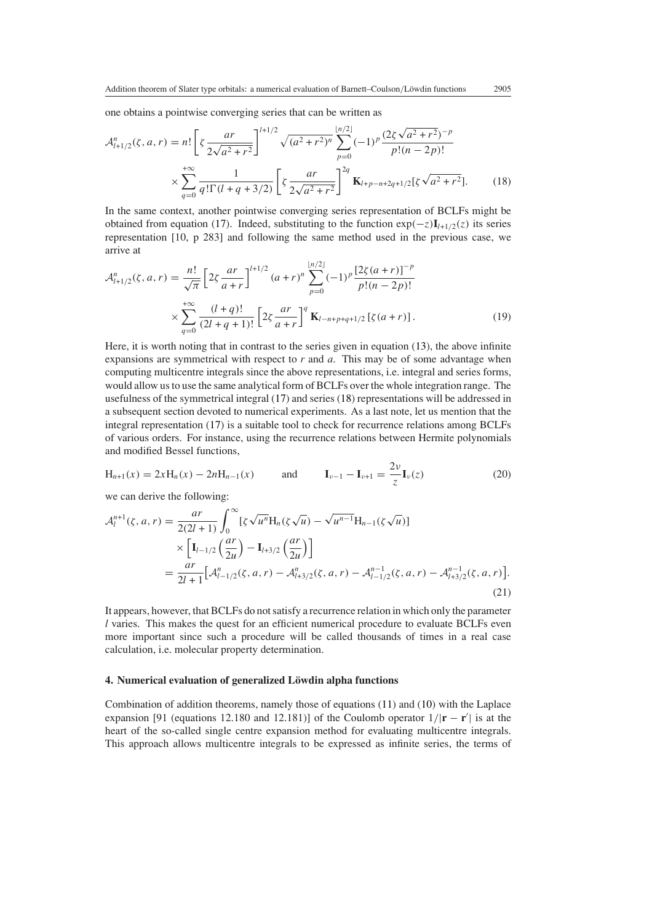one obtains a pointwise converging series that can be written as

<span id="page-7-2"></span><span id="page-7-0"></span>
$$
\mathcal{A}_{l+1/2}^{n}(\zeta, a, r) = n! \left[ \zeta \frac{ar}{2\sqrt{a^2 + r^2}} \right]^{l+1/2} \sqrt{(a^2 + r^2)^n} \sum_{p=0}^{\lfloor n/2 \rfloor} (-1)^p \frac{(2\zeta \sqrt{a^2 + r^2})^{-p}}{p!(n - 2p)!}
$$

$$
\times \sum_{q=0}^{+\infty} \frac{1}{q! \Gamma(l + q + 3/2)} \left[ \zeta \frac{ar}{2\sqrt{a^2 + r^2}} \right]^{2q} \mathbf{K}_{l+p-n+2q+1/2}[\zeta \sqrt{a^2 + r^2}]. \tag{18}
$$

In the same context, another pointwise converging series representation of BCLFs might be obtained from equation [\(17\)](#page-6-0). Indeed, substituting to the function  $exp(-z)\mathbf{I}_{l+1/2}(z)$  its series representation [10, p 283] and following the same method used in the previous case, we arrive at

<span id="page-7-1"></span>
$$
\mathcal{A}_{l+1/2}^{n}(\zeta, a, r) = \frac{n!}{\sqrt{\pi}} \left[ 2\zeta \frac{ar}{a+r} \right]^{l+1/2} (a+r)^{n} \sum_{p=0}^{\lfloor n/2 \rfloor} (-1)^{p} \frac{[2\zeta(a+r)]^{-p}}{p!(n-2p)!}
$$

$$
\times \sum_{q=0}^{+\infty} \frac{(l+q)!}{(2l+q+1)!} \left[ 2\zeta \frac{ar}{a+r} \right]^{q} \mathbf{K}_{l-n+p+q+1/2} [\zeta(a+r)]. \tag{19}
$$

Here, it is worth noting that in contrast to the series given in equation [\(13\)](#page-6-1), the above infinite expansions are symmetrical with respect to *r* and *a*. This may be of some advantage when computing multicentre integrals since the above representations, i.e. integral and series forms, would allow us to use the same analytical form of BCLFs over the whole integration range. The usefulness of the symmetrical integral [\(17\)](#page-6-0) and series [\(18\)](#page-7-0) representations will be addressed in a subsequent section devoted to numerical experiments. As a last note, let us mention that the integral representation [\(17\)](#page-6-0) is a suitable tool to check for recurrence relations among BCLFs of various orders. For instance, using the recurrence relations between Hermite polynomials and modified Bessel functions,

$$
H_{n+1}(x) = 2xH_n(x) - 2nH_{n-1}(x) \quad \text{and} \quad I_{\nu-1} - I_{\nu+1} = \frac{2\nu}{z}I_{\nu}(z) \tag{20}
$$

we can derive the following:

$$
\mathcal{A}_{l}^{n+1}(\zeta, a, r) = \frac{ar}{2(2l+1)} \int_{0}^{\infty} [\zeta \sqrt{u^{n}} H_{n}(\zeta \sqrt{u}) - \sqrt{u^{n-1}} H_{n-1}(\zeta \sqrt{u})] \times \left[ I_{l-1/2} \left( \frac{ar}{2u} \right) - I_{l+3/2} \left( \frac{ar}{2u} \right) \right] = \frac{ar}{2l+1} [\mathcal{A}_{l-1/2}^{n}(\zeta, a, r) - \mathcal{A}_{l+3/2}^{n}(\zeta, a, r) - \mathcal{A}_{l-1/2}^{n-1}(\zeta, a, r) - \mathcal{A}_{l+3/2}^{n-1}(\zeta, a, r)]
$$
\n(21)

It appears, however, that BCLFs do not satisfy a recurrence relation in which only the parameter *l* varies. This makes the quest for an efficient numerical procedure to evaluate BCLFs even more important since such a procedure will be called thousands of times in a real case calculation, i.e. molecular property determination.

#### **4. Numerical evaluation of generalized Löwdin alpha functions**

Combination of addition theorems, namely those of equations [\(11\)](#page-4-3) and [\(10\)](#page-4-2) with the Laplace expansion [91 (equations 12.180 and 12.181)] of the Coulomb operator  $1/|\mathbf{r} - \mathbf{r}'|$  is at the heart of the so-called single centre expansion method for evaluating multicentre integrals. This approach allows multicentre integrals to be expressed as infinite series, the terms of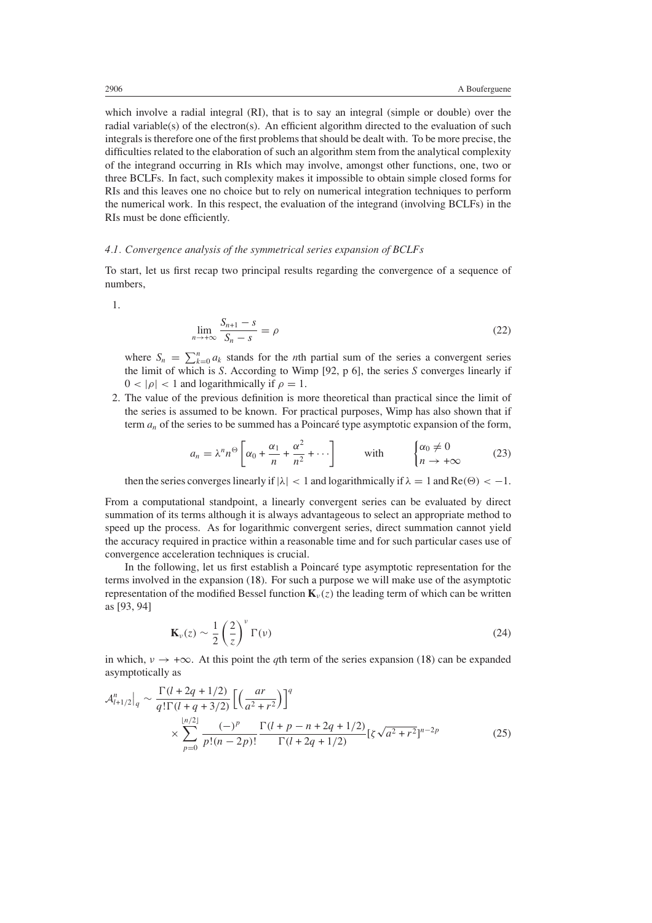which involve a radial integral (RI), that is to say an integral (simple or double) over the radial variable(s) of the electron(s). An efficient algorithm directed to the evaluation of such integrals is therefore one of the first problems that should be dealt with. To be more precise, the difficulties related to the elaboration of such an algorithm stem from the analytical complexity of the integrand occurring in RIs which may involve, amongst other functions, one, two or three BCLFs. In fact, such complexity makes it impossible to obtain simple closed forms for RIs and this leaves one no choice but to rely on numerical integration techniques to perform the numerical work. In this respect, the evaluation of the integrand (involving BCLFs) in the RIs must be done efficiently.

# *4.1. Convergence analysis of the symmetrical series expansion of BCLFs*

To start, let us first recap two principal results regarding the convergence of a sequence of numbers,

<span id="page-8-2"></span>1.

$$
\lim_{n \to +\infty} \frac{S_{n+1} - s}{S_n - s} = \rho \tag{22}
$$

where  $S_n = \sum_{k=0}^n a_k$  stands for the *n*th partial sum of the series a convergent series the limit of which is *S*. According to Wimp [92, p 6], the series *S* converges linearly if  $0 < |\rho| < 1$  and logarithmically if  $\rho = 1$ .

<span id="page-8-1"></span>2. The value of the previous definition is more theoretical than practical since the limit of the series is assumed to be known. For practical purposes, Wimp has also shown that if term  $a_n$  of the series to be summed has a Poincaré type asymptotic expansion of the form,

$$
a_n = \lambda^n n^{\Theta} \left[ \alpha_0 + \frac{\alpha_1}{n} + \frac{\alpha^2}{n^2} + \cdots \right] \qquad \text{with} \qquad \begin{cases} \alpha_0 \neq 0 \\ n \to +\infty \end{cases} \tag{23}
$$

then the series converges linearly if  $|\lambda| < 1$  and logarithmically if  $\lambda = 1$  and Re( $\Theta$ ) < -1.

From a computational standpoint, a linearly convergent series can be evaluated by direct summation of its terms although it is always advantageous to select an appropriate method to speed up the process. As for logarithmic convergent series, direct summation cannot yield the accuracy required in practice within a reasonable time and for such particular cases use of convergence acceleration techniques is crucial.

In the following, let us first establish a Poincaré type asymptotic representation for the terms involved in the expansion [\(18\)](#page-7-0). For such a purpose we will make use of the asymptotic representation of the modified Bessel function  $\mathbf{K}_v(z)$  the leading term of which can be written as [93, 94]

$$
\mathbf{K}_{\nu}(z) \sim \frac{1}{2} \left(\frac{2}{z}\right)^{\nu} \Gamma(\nu)
$$
 (24)

in which,  $v \rightarrow +\infty$ . At this point the *q*th term of the series expansion [\(18\)](#page-7-0) can be expanded asymptotically as

<span id="page-8-0"></span>
$$
\mathcal{A}_{l+1/2}^{n} \Big|_{q} \sim \frac{\Gamma(l+2q+1/2)}{q!\Gamma(l+q+3/2)} \Big[ \Big(\frac{ar}{a^2+r^2}\Big) \Big]^q
$$
  
 
$$
\times \sum_{p=0}^{\lfloor n/2 \rfloor} \frac{(-)^p}{p!(n-2p)!} \frac{\Gamma(l+p-n+2q+1/2)}{\Gamma(l+2q+1/2)} [\zeta \sqrt{a^2+r^2}]^{n-2p}
$$
(25)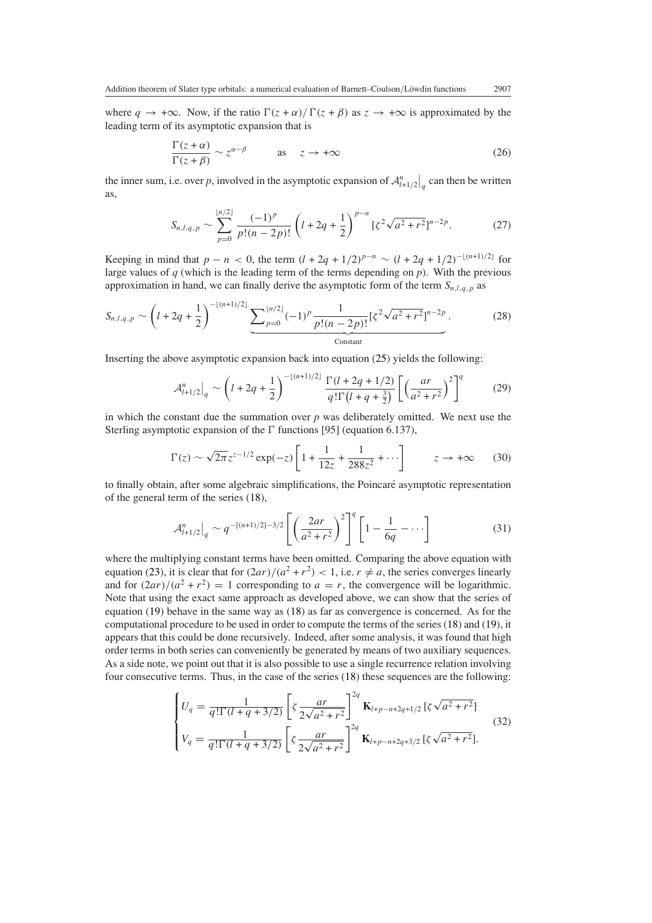where  $q \to +\infty$ . Now, if the ratio  $\Gamma(z + \alpha) / \Gamma(z + \beta)$  as  $z \to +\infty$  is approximated by the leading term of its asymptotic expansion that is

$$
\frac{\Gamma(z+\alpha)}{\Gamma(z+\beta)} \sim z^{\alpha-\beta} \qquad \text{as} \quad z \to +\infty \tag{26}
$$

the inner sum, i.e. over *p*, involved in the asymptotic expansion of  $\mathcal{A}_{l+1/2}^n\big|_q$  can then be written as,

$$
S_{n,l,q,p} \sim \sum_{p=0}^{\lfloor n/2 \rfloor} \frac{(-1)^p}{p!(n-2p)!} \left( l + 2q + \frac{1}{2} \right)^{p-n} \left[ \zeta^2 \sqrt{a^2 + r^2} \right]^{n-2p}.
$$
 (27)

Keeping in mind that  $p - n < 0$ , the term  $(l + 2q + 1/2)^{p-n} \sim (l + 2q + 1/2)^{-\lfloor (n+1)/2 \rfloor}$  for large values of *q* (which is the leading term of the terms depending on *p*). With the previous approximation in hand, we can finally derive the asymptotic form of the term  $S_{n,l,q,p}$  as

$$
S_{n,l,q,p} \sim \left(l+2q+\frac{1}{2}\right)^{-\lfloor (n+1)/2 \rfloor} \underbrace{\sum_{p=0}^{\lfloor n/2 \rfloor} (-1)^p \frac{1}{p!(n-2p)!} [\zeta^2 \sqrt{a^2+r^2}]^{n-2p}}_{\text{Constant}}.
$$
 (28)

Inserting the above asymptotic expansion back into equation [\(25\)](#page-8-0) yields the following:

$$
\mathcal{A}_{l+1/2}^{n} \Big|_{q} \sim \left( l + 2q + \frac{1}{2} \right)^{-\lfloor (n+1)/2 \rfloor} \frac{\Gamma(l+2q+1/2)}{q! \Gamma(l+q+\frac{3}{2})} \left[ \left( \frac{ar}{a^2 + r^2} \right)^2 \right]^q \tag{29}
$$

in which the constant due the summation over  $p$  was deliberately omitted. We next use the Sterling asymptotic expansion of the  $\Gamma$  functions [95] (equation 6.137),

$$
\Gamma(z) \sim \sqrt{2\pi} z^{z-1/2} \exp(-z) \left[ 1 + \frac{1}{12z} + \frac{1}{288z^2} + \cdots \right] \qquad z \to +\infty \qquad (30)
$$

to finally obtain, after some algebraic simplifications, the Poincaré asymptotic representation of the general term of the series [\(18\)](#page-7-0),

$$
\mathcal{A}_{l+1/2}^n\Big|_q \sim q^{-[(n+1)/2]-3/2} \left[ \left( \frac{2ar}{a^2+r^2} \right)^2 \right]^q \left[ 1 - \frac{1}{6q} - \cdots \right] \tag{31}
$$

where the multiplying constant terms have been omitted. Comparing the above equation with equation [\(23\)](#page-8-1), it is clear that for  $(2ar)/(a^2 + r^2) < 1$ , i.e.  $r \neq a$ , the series converges linearly and for  $(2ar)/(a^2 + r^2) = 1$  corresponding to  $a = r$ , the convergence will be logarithmic. Note that using the exact same approach as developed above, we can show that the series of equation [\(19\)](#page-7-1) behave in the same way as [\(18\)](#page-7-0) as far as convergence is concerned. As for the computational procedure to be used in order to compute the terms of the series [\(18\)](#page-7-0) and [\(19\)](#page-7-1), it appears that this could be done recursively. Indeed, after some analysis, it was found that high order terms in both series can conveniently be generated by means of two auxiliary sequences. As a side note, we point out that it is also possible to use a single recurrence relation involving four consecutive terms. Thus, in the case of the series [\(18\)](#page-7-0) these sequences are the following:

$$
\begin{cases}\nU_q = \frac{1}{q!\Gamma(l+q+3/2)} \left[ \zeta \frac{ar}{2\sqrt{a^2+r^2}} \right]^{2q} \mathbf{K}_{l+p-n+2q+1/2} \left[ \zeta \sqrt{a^2+r^2} \right] \\
V_q = \frac{1}{q!\Gamma(l+q+3/2)} \left[ \zeta \frac{ar}{2\sqrt{a^2+r^2}} \right]^{2q} \mathbf{K}_{l+p-n+2q+3/2} \left[ \zeta \sqrt{a^2+r^2} \right].\n\end{cases} (32)
$$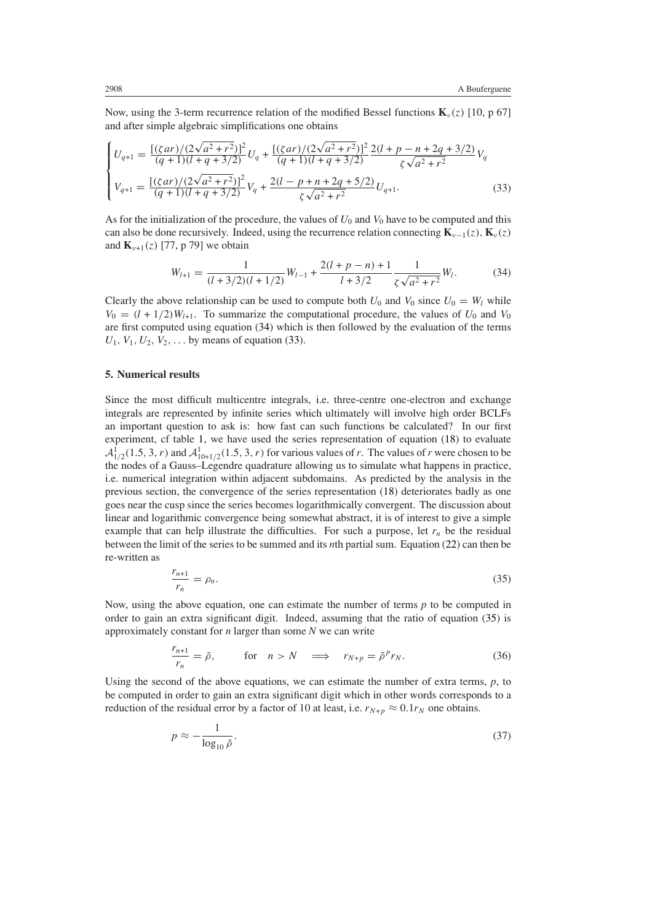Now, using the 3-term recurrence relation of the modified Bessel functions  $\mathbf{K}_v(z)$  [10, p 67] and after simple algebraic simplifications one obtains

<span id="page-10-1"></span>
$$
\begin{cases}\nU_{q+1} = \frac{\left[ (\zeta ar)/(2\sqrt{a^2 + r^2}) \right]^2}{(q+1)(l+q+3/2)} U_q + \frac{\left[ (\zeta ar)/(2\sqrt{a^2 + r^2}) \right]^2}{(q+1)(l+q+3/2)} \frac{2(l+p-n+2q+3/2)}{\zeta \sqrt{a^2 + r^2}} V_q \\
V_{q+1} = \frac{\left[ (\zeta ar)/(2\sqrt{a^2 + r^2}) \right]^2}{(q+1)(l+q+3/2)} V_q + \frac{2(l-p+n+2q+5/2)}{\zeta \sqrt{a^2 + r^2}} U_{q+1}.\n\end{cases} (33)
$$

<span id="page-10-0"></span>As for the initialization of the procedure, the values of  $U_0$  and  $V_0$  have to be computed and this can also be done recursively. Indeed, using the recurrence relation connecting  $\mathbf{K}_{\nu-1}(z)$ ,  $\mathbf{K}_{\nu}(z)$ and  $\mathbf{K}_{\nu+1}(z)$  [77, p 79] we obtain

$$
W_{l+1} = \frac{1}{(l+3/2)(l+1/2)}W_{l-1} + \frac{2(l+p-n)+1}{l+3/2}\frac{1}{\zeta\sqrt{a^2+r^2}}W_l.
$$
 (34)

Clearly the above relationship can be used to compute both  $U_0$  and  $V_0$  since  $U_0 = W_l$  while  $V_0 = (l + 1/2)W_{l+1}$ . To summarize the computational procedure, the values of  $U_0$  and  $V_0$ are first computed using equation [\(34\)](#page-10-0) which is then followed by the evaluation of the terms  $U_1, V_1, U_2, V_2, \ldots$  by means of equation [\(33\)](#page-10-1).

#### **5. Numerical results**

Since the most difficult multicentre integrals, i.e. three-centre one-electron and exchange integrals are represented by infinite series which ultimately will involve high order BCLFs an important question to ask is: how fast can such functions be calculated? In our first experiment, cf table [1,](#page-11-0) we have used the series representation of equation [\(18\)](#page-7-0) to evaluate  $\mathcal{A}_{1/2}^1(1.5, 3, r)$  and  $\mathcal{A}_{10+1/2}^1(1.5, 3, r)$  for various values of *r*. The values of *r* were chosen to be the nodes of a Gauss–Legendre quadrature allowing us to simulate what happens in practice, i.e. numerical integration within adjacent subdomains. As predicted by the analysis in the previous section, the convergence of the series representation [\(18\)](#page-7-0) deteriorates badly as one goes near the cusp since the series becomes logarithmically convergent. The discussion about linear and logarithmic convergence being somewhat abstract, it is of interest to give a simple example that can help illustrate the difficulties. For such a purpose, let  $r_n$  be the residual between the limit of the series to be summed and its *n*th partial sum. Equation [\(22\)](#page-8-2) can then be re-written as

$$
\frac{r_{n+1}}{r_n} = \rho_n. \tag{35}
$$

<span id="page-10-3"></span><span id="page-10-2"></span>Now, using the above equation, one can estimate the number of terms *p* to be computed in order to gain an extra significant digit. Indeed, assuming that the ratio of equation [\(35\)](#page-10-2) is approximately constant for *n* larger than some *N* we can write

$$
\frac{r_{n+1}}{r_n} = \tilde{\rho}, \quad \text{for} \quad n > N \quad \implies \quad r_{N+p} = \tilde{\rho}^p r_N. \tag{36}
$$

Using the second of the above equations, we can estimate the number of extra terms,  $p$ , to be computed in order to gain an extra significant digit which in other words corresponds to a reduction of the residual error by a factor of 10 at least, i.e.  $r_{N+p} \approx 0.1 r_N$  one obtains.

$$
p \approx -\frac{1}{\log_{10} \tilde{\rho}}.\tag{37}
$$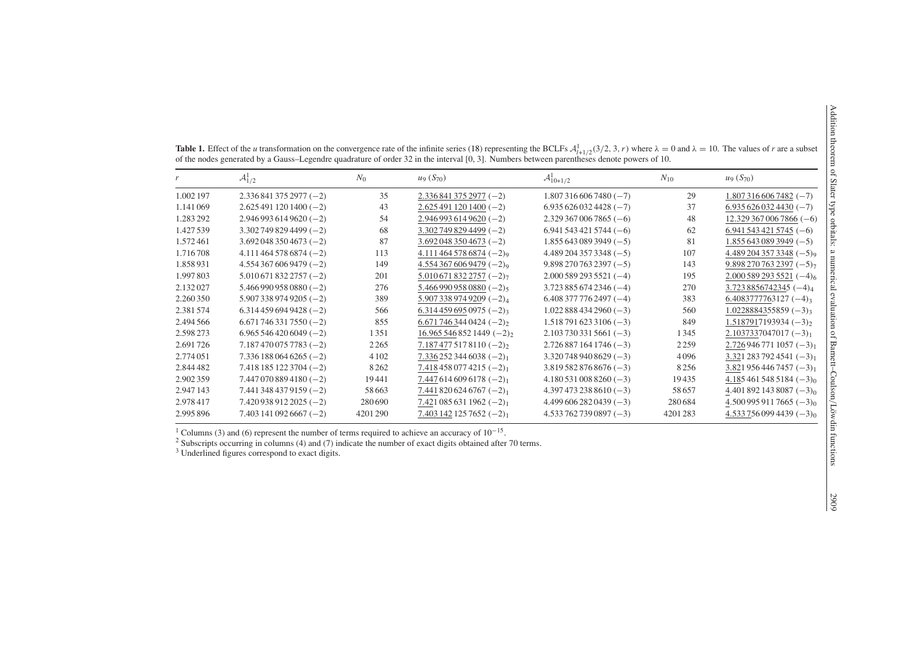| et                                                                                                                                | ì<br>$1 - 1$<br>be orbitals:          |
|-----------------------------------------------------------------------------------------------------------------------------------|---------------------------------------|
| ┃ ) (5) 】 り 7 16 4 1 1 1<br>$\frac{1}{2}$<br>$\begin{bmatrix} 1 & 1 \\ 1 & 0 \\ 0 & 0 \\ 0 & 0 \end{bmatrix}$<br>$\mathfrak{g}_0$ | n of Barnett–Coulson/Löwdin functions |
|                                                                                                                                   | 6067<br>)<br>S                        |

| of the nodes generated by a Gauss–Legendre quadrature of order 32 in the interval [0, 3]. Numbers between parentheses denote powers of 10. |         |                        |                            |          |                        |  |  |  |
|--------------------------------------------------------------------------------------------------------------------------------------------|---------|------------------------|----------------------------|----------|------------------------|--|--|--|
| $\mathcal{A}_{1/2}^1$                                                                                                                      | $N_0$   | $u_9(S_{70})$          | $\mathcal{A}_{10+1/2}^{1}$ | $N_{10}$ | $u_9(S_{70})$          |  |  |  |
| $2.3368413752977(-2)$                                                                                                                      | 35      | $2.3368413752977(-2)$  | $1.8073166067480(-7)$      | 29       | $1.8073166067482(-7)$  |  |  |  |
| $2.6254911201400(-2)$                                                                                                                      | 43      | $2.6254911201400(-2)$  | $6.9356260324428(-7)$      | 37       | $6.9356260324430(-7)$  |  |  |  |
| $2.9469936149620(-2)$                                                                                                                      | 54      | $2.9469936149620(-2)$  | $2.3293670067865(-6)$      | 48       | $12.3293670067866(-6)$ |  |  |  |
| $3.3027498294499(-2)$                                                                                                                      | 68      | $3.3027498294499(-2)$  | $6.9415434215744(-6)$      | 62       | $6.9415434215745(-6)$  |  |  |  |
| $3.6920483504673(-2)$                                                                                                                      | 87      | $3.6920483504673(-2)$  | $1.8556430893949(-5)$      | 81       | $1.8556430893949(-5)$  |  |  |  |
| $4.1114645786874(-2)$                                                                                                                      | 113     | $4.1114645786874(-2)$  | $4.4892043573348(-5)$      | 107      | $4.4892043573348(-5)$  |  |  |  |
| $4.5543676069479(-2)$                                                                                                                      | 149     | $4.5543676069479(-2)$  | $9.8982707632397(-5)$      | 143      | $9.8982707632397(-5)$  |  |  |  |
| $5.0106718322757(-2)$                                                                                                                      | 201     | $5.0106718322757(-2)$  | $2,000$ 589 293 5521 (-4)  | 195      | $2.0005892935521(-4)$  |  |  |  |
| $5.4669909580880(-2)$                                                                                                                      | 276     | $5.4669909580880(-2)$  | $3.7238856742346(-4)$      | 270      | $3.7238856742345(-4)4$ |  |  |  |
| $5.9073389749205(-2)$                                                                                                                      | 389     | $5.9073389749209(-2)4$ | $6.4083777762497(-4)$      | 383      | $6.4083777763127(-4)$  |  |  |  |
| $6.3144596949428(-2)$                                                                                                                      | 566     | $6.3144596950975(-2)$  | $1.0228884342960(-3)$      | 560      | $1.0228884355859(-3)$  |  |  |  |
| $6.6717463317550(-2)$                                                                                                                      | 855     | $6.6717463440424(-2)$  | $1.5187916233106(-3)$      | 849      | $1.5187917193934(-3)$  |  |  |  |
| $6.9655464206049(-2)$                                                                                                                      | 1351    | $16.9655468521449(-2)$ | $2.1037303315661(-3)$      | 1345     | $2.1037337047017(-3)$  |  |  |  |
| $7.1874700757783(-2)$                                                                                                                      | 2 2 6 5 | $7.1874775178110(-2)$  | $2.7268871641746(-3)$      | 2259     | $2.7269467711057(-3)$  |  |  |  |
| $7.3361880646265(-2)$                                                                                                                      | 4 1 0 2 | $7.3362523446038(-2)$  | $3.3207489408629(-3)$      | 4096     | $3.3212837924541(-3)$  |  |  |  |
| $7.4181851223704(-2)$                                                                                                                      | 8 2 6 2 | $7.4184580774215(-2)$  | $3.8195828768676(-3)$      | 8256     | $3.8219564467457(-3)$  |  |  |  |
| $7.4470708894180(-2)$                                                                                                                      | 19441   | $7.4476146096178(-2)$  | $4.1805310088260(-3)$      | 19435    | $4.1854615485184(-3)$  |  |  |  |
| $7.4413484379159(-2)$                                                                                                                      | 58 6 63 | $7.4418206246767(-2)$  | $4.3974732388610(-3)$      | 58 657   | $4.4018921438087(-3)$  |  |  |  |
| $7.4209389122025(-2)$                                                                                                                      | 280690  | $7.4210856311962(-2)$  | $4.4996062820439(-3)$      | 280684   | $4.5009959117665(-3)$  |  |  |  |
| $7.4031410926667(-2)$                                                                                                                      | 4201290 | $7.4031421257652(-2)$  | $4.5337627390897(-3)$      | 4201283  | $4.5337560994439(-3)$  |  |  |  |
|                                                                                                                                            |         |                        |                            |          |                        |  |  |  |

**Table 1.** Effect of the *u* transformation on the convergence rate of the infinite series [\(18\)](#page-7-2) representing the BCLFs  $A_{l+1/2}^1(3/2, 3, r)$  where  $\lambda = 0$  and  $\lambda = 10$ . The values of *r* are a subset

<sup>1</sup> Columns (3) and (6) represent the number of terms required to achieve an accuracy of  $10^{-15}$ .<br><sup>2</sup> Subscripts occurring in columns (4) and (7) indicate the number of exact digits obtained after 70 terms.<br><sup>3</sup> Underline

<span id="page-11-0"></span>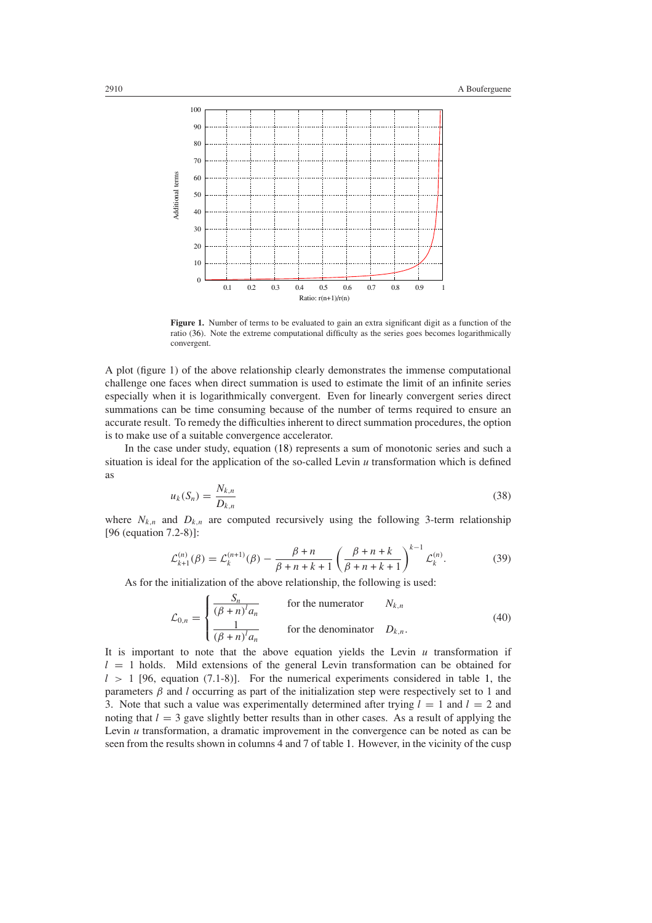

Figure 1. Number of terms to be evaluated to gain an extra significant digit as a function of the ratio [\(36\)](#page-10-3). Note the extreme computational difficulty as the series goes becomes logarithmically convergent.

A plot (figure 1) of the above relationship clearly demonstrates the immense computational challenge one faces when direct summation is used to estimate the limit of an infinite series especially when it is logarithmically convergent. Even for linearly convergent series direct summations can be time consuming because of the number of terms required to ensure an accurate result. To remedy the difficulties inherent to direct summation procedures, the option is to make use of a suitable convergence accelerator.

In the case under study, equation [\(18\)](#page-7-0) represents a sum of monotonic series and such a situation is ideal for the application of the so-called Levin *u* transformation which is defined as

$$
u_k(S_n) = \frac{N_{k,n}}{D_{k,n}}\tag{38}
$$

where  $N_{k,n}$  and  $D_{k,n}$  are computed recursively using the following 3-term relationship [96 (equation 7.2-8)]:

$$
\mathcal{L}_{k+1}^{(n)}(\beta) = \mathcal{L}_k^{(n+1)}(\beta) - \frac{\beta + n}{\beta + n + k + 1} \left(\frac{\beta + n + k}{\beta + n + k + 1}\right)^{k-1} \mathcal{L}_k^{(n)}.
$$
 (39)

As for the initialization of the above relationship, the following is used:

$$
\mathcal{L}_{0,n} = \begin{cases}\n\frac{S_n}{(\beta + n)^l a_n} & \text{for the numerator} & N_{k,n} \\
\frac{1}{(\beta + n)^l a_n} & \text{for the denominator} & D_{k,n}.\n\end{cases}
$$
\n(40)

It is important to note that the above equation yields the Levin  $u$  transformation if  $l = 1$  holds. Mild extensions of the general Levin transformation can be obtained for *l >* 1 [96, equation (7.1-8)]. For the numerical experiments considered in table [1,](#page-11-0) the parameters  $\beta$  and *l* occurring as part of the initialization step were respectively set to 1 and 3. Note that such a value was experimentally determined after trying  $l = 1$  and  $l = 2$  and noting that  $l = 3$  gave slightly better results than in other cases. As a result of applying the Levin *u* transformation, a dramatic improvement in the convergence can be noted as can be seen from the results shown in columns 4 and 7 of table [1.](#page-11-0) However, in the vicinity of the cusp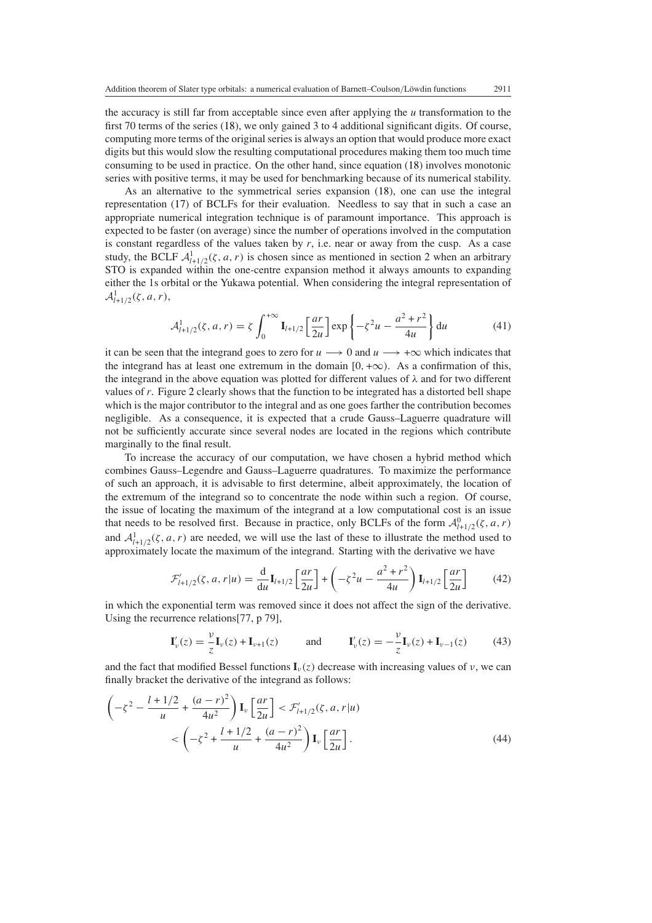the accuracy is still far from acceptable since even after applying the *u* transformation to the first 70 terms of the series [\(18\)](#page-7-0), we only gained 3 to 4 additional significant digits. Of course, computing more terms of the original series is always an option that would produce more exact digits but this would slow the resulting computational procedures making them too much time consuming to be used in practice. On the other hand, since equation [\(18\)](#page-7-0) involves monotonic series with positive terms, it may be used for benchmarking because of its numerical stability.

As an alternative to the symmetrical series expansion [\(18\)](#page-7-0), one can use the integral representation [\(17\)](#page-6-0) of BCLFs for their evaluation. Needless to say that in such a case an appropriate numerical integration technique is of paramount importance. This approach is expected to be faster (on average) since the number of operations involved in the computation is constant regardless of the values taken by  $r$ , i.e. near or away from the cusp. As a case study, the BCLF  $A^1_{l+1/2}(\zeta, a, r)$  is chosen since as mentioned in section 2 when an arbitrary STO is expanded within the one-centre expansion method it always amounts to expanding either the 1s orbital or the Yukawa potential. When considering the integral representation of  $\mathcal{A}_{l+1/2}^1(\zeta, a, r),$ 

$$
\mathcal{A}^1_{l+1/2}(\zeta, a, r) = \zeta \int_0^{+\infty} \mathbf{I}_{l+1/2} \left[ \frac{ar}{2u} \right] \exp \left\{ -\zeta^2 u - \frac{a^2 + r^2}{4u} \right\} du \tag{41}
$$

<span id="page-13-1"></span>it can be seen that the integrand goes to zero for  $u \rightarrow 0$  and  $u \rightarrow +\infty$  which indicates that the integrand has at least one extremum in the domain  $[0, +\infty)$ . As a confirmation of this, the integrand in the above equation was plotted for different values of *λ* and for two different values of *r*. Figure [2](#page-14-0) clearly shows that the function to be integrated has a distorted bell shape which is the major contributor to the integral and as one goes farther the contribution becomes negligible. As a consequence, it is expected that a crude Gauss–Laguerre quadrature will not be sufficiently accurate since several nodes are located in the regions which contribute marginally to the final result.

To increase the accuracy of our computation, we have chosen a hybrid method which combines Gauss–Legendre and Gauss–Laguerre quadratures. To maximize the performance of such an approach, it is advisable to first determine, albeit approximately, the location of the extremum of the integrand so to concentrate the node within such a region. Of course, the issue of locating the maximum of the integrand at a low computational cost is an issue that needs to be resolved first. Because in practice, only BCLFs of the form  $\mathcal{A}^0_{l+1/2}(\zeta, a, r)$ and  $A^1_{l+1/2}(\zeta, a, r)$  are needed, we will use the last of these to illustrate the method used to approximately locate the maximum of the integrand. Starting with the derivative we have

$$
\mathcal{F}'_{l+1/2}(\zeta, a, r | u) = \frac{d}{du} \mathbf{I}_{l+1/2} \left[ \frac{ar}{2u} \right] + \left( -\zeta^2 u - \frac{a^2 + r^2}{4u} \right) \mathbf{I}_{l+1/2} \left[ \frac{ar}{2u} \right] \tag{42}
$$

in which the exponential term was removed since it does not affect the sign of the derivative. Using the recurrence relations[77, p 79],

$$
\mathbf{I}'_{\nu}(z) = \frac{\nu}{z} \mathbf{I}_{\nu}(z) + \mathbf{I}_{\nu+1}(z) \quad \text{and} \quad \mathbf{I}'_{\nu}(z) = -\frac{\nu}{z} \mathbf{I}_{\nu}(z) + \mathbf{I}_{\nu-1}(z) \quad (43)
$$

and the fact that modified Bessel functions  $\mathbf{I}_{\nu}(z)$  decrease with increasing values of  $\nu$ , we can finally bracket the derivative of the integrand as follows:

<span id="page-13-0"></span>
$$
\left(-\zeta^{2} - \frac{l+1/2}{u} + \frac{(a-r)^{2}}{4u^{2}}\right) \mathbf{I}_{\nu} \left[\frac{ar}{2u}\right] < \mathcal{F}'_{l+1/2}(\zeta, a, r|u) \\
&< \left(-\zeta^{2} + \frac{l+1/2}{u} + \frac{(a-r)^{2}}{4u^{2}}\right) \mathbf{I}_{\nu} \left[\frac{ar}{2u}\right].\n\tag{44}
$$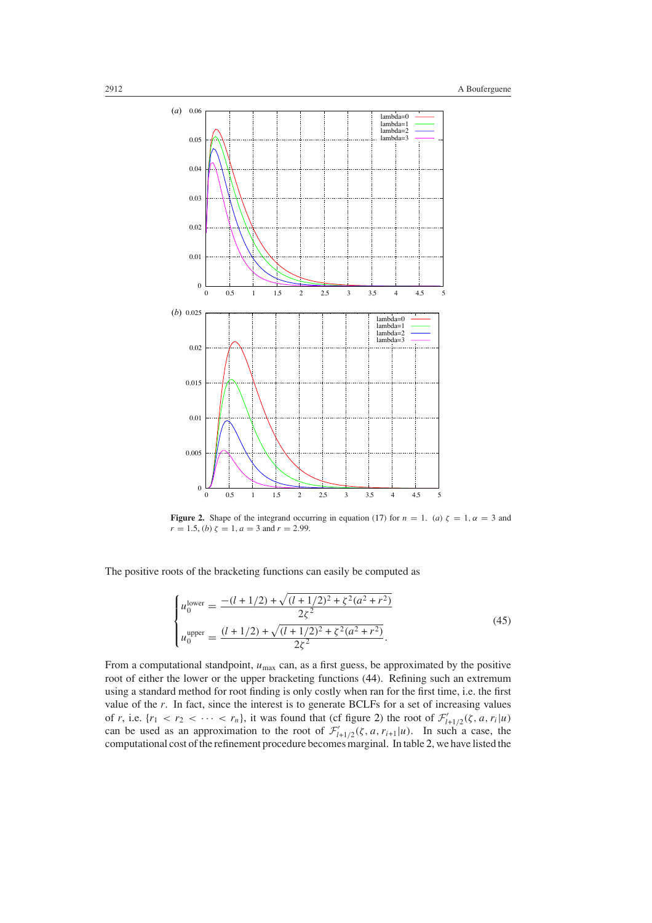

<span id="page-14-0"></span>**Figure 2.** Shape of the integrand occurring in equation [\(17\)](#page-6-0) for  $n = 1$ . (*a*)  $\zeta = 1$ ,  $\alpha = 3$  and  $r = 1.5$ , (*b*)  $\zeta = 1$ ,  $a = 3$  and  $r = 2.99$ .

<span id="page-14-1"></span>The positive roots of the bracketing functions can easily be computed as

$$
\begin{cases}\nu_0^{\text{lower}} = \frac{-(l+1/2) + \sqrt{(l+1/2)^2 + \zeta^2(a^2+r^2)}}{2\zeta^2} \\
u_0^{\text{upper}} = \frac{(l+1/2) + \sqrt{(l+1/2)^2 + \zeta^2(a^2+r^2)}}{2\zeta^2}.\n\end{cases} (45)
$$

From a computational standpoint,  $u_{\text{max}}$  can, as a first guess, be approximated by the positive root of either the lower or the upper bracketing functions [\(44\)](#page-13-0). Refining such an extremum using a standard method for root finding is only costly when ran for the first time, i.e. the first value of the *r*. In fact, since the interest is to generate BCLFs for a set of increasing values of *r*, i.e.  $\{r_1 < r_2 < \cdots < r_n\}$ , it was found that (cf figure [2\)](#page-14-0) the root of  $\mathcal{F}'_{l+1/2}(\zeta, a, r_i | u)$ can be used as an approximation to the root of  $\mathcal{F}'_{l+1/2}(\zeta, a, r_{i+1}|\mu)$ . In such a case, the computational cost of the refinement procedure becomes marginal. In table [2,](#page-15-0) we have listed the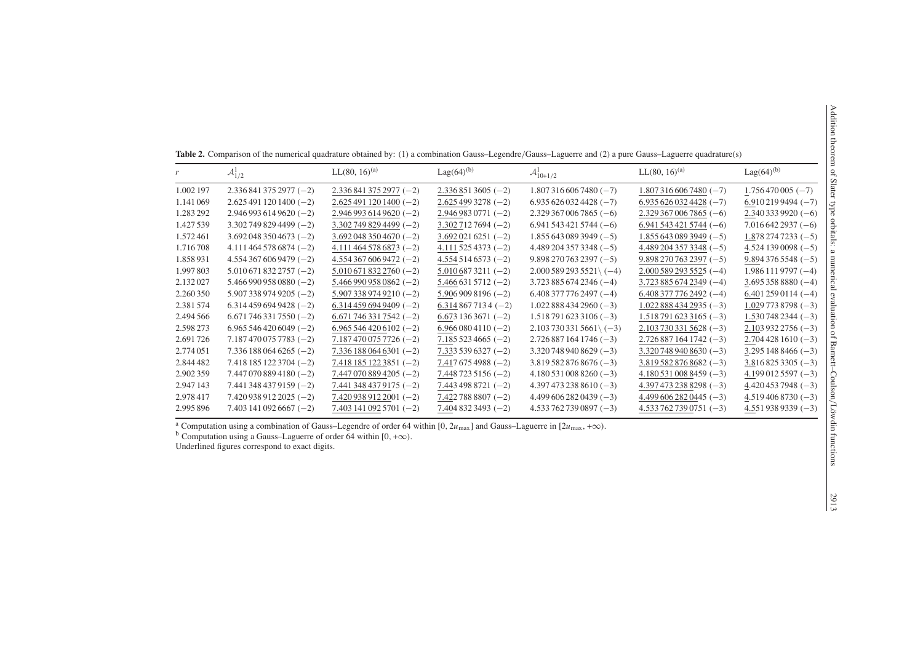|           | ${\cal A}^1_{1/2}$      | $LL(80, 16)^{(a)}$      | $Lag(64)^{(b)}$          | $\mathcal{A}_{10+1/2}^{1}$    | $LL(80, 16)^{(a)}$            | $Lag(64)^{(b)}$    |
|-----------|-------------------------|-------------------------|--------------------------|-------------------------------|-------------------------------|--------------------|
| 1.002 197 | $2.3368413752977(-2)$   | $2.3368413752977(-2)$   | $2.3368513605(-2)$       | $1.8073166067480(-7)$         | $1.8073166067480(-7)$         | $1.756470005(-7)$  |
| 1.141 069 | $2.6254911201400(-2)$   | $2.6254911201400(-2)$   | $2.6254993278(-2)$       | $6.9356260324428(-7)$         | $6.9356260324428(-7)$         | $6.9102199494(-7)$ |
| 1.283 292 | $2.9469936149620(-2)$   | $2.9469936149620(-2)$   | $2.9469830771(-2)$       | $2.3293670067865(-6)$         | $2.3293670067865(-6)$         | $2.3403339920(-6)$ |
| 1.427539  | $3.3027498294499(-2)$   | $3.3027498294499(-2)$   | $3.3027127694(-2)$       | $6.9415434215744(-6)$         | $6.9415434215744(-6)$         | $7.0166422937(-6)$ |
| 1.572461  | $3.6920483504673(-2)$   | $3.6920483504670(-2)$   | $3.6920216251(-2)$       | $1.8556430893949(-5)$         | $1.8556430893949(-5)$         | $1.8782747233(-5)$ |
| 1.716708  | $4.1114645786874(-2)$   | $4.1114645786873(-2)$   | $4.111\,525\,4373\;(-2)$ | $4.4892043573348(-5)$         | $4.4892043573348(-5)$         | $4.5241390098(-5)$ |
| 1.858931  | $4.5543676069479(-2)$   | $4.5543676069472(-2)$   | $4.5545146573(-2)$       | $9.898\,270\,763\,2397\(-5)$  | $9.898\,270\,763\,2397\;(-5)$ | $9.8943765548(-5)$ |
| 1.997803  | $5.0106718322757(-2)$   | $5.0106718322760(-2)$   | $5.0106873211(-2)$       | $2.0005892935521(-4)$         | $2.0005892935525(-4)$         | $1.9861119797(-4)$ |
| 2.132027  | $5.4669909580880(-2)$   | $5.4669909580862(-2)$   | $5.4666315712(-2)$       | $3.7238856742346(-4)$         | $3.7238856742349(-4)$         | $3.6953588880(-4)$ |
| 2.260350  | $5.9073389749205(-2)$   | $5.9073389749210(-2)$   | $5.9069098196(-2)$       | $6.408\,377\,776\,2497\;(-4)$ | $6.408\,377\,776\,2492\;(-4)$ | $6.4012590114(-4)$ |
| 2.381574  | $6.3144596949428(-2)$   | $6.3144596949409(-2)$   | $6.3148677134(-2)$       | $1.0228884342960(-3)$         | $1.0228884342935(-3)$         | $1.0297738798(-3)$ |
| 2.494 566 | $6.6717463317550(-2)$   | $6.6717463317542(-2)$   | $6.6731363671(-2)$       | $1.5187916233106(-3)$         | $1.5187916233165(-3)$         | $1.5307482344(-3)$ |
| 2.598 273 | $6.9655464206049(-2)$   | $6.9655464206102(-2)$   | $6.9660804110(-2)$       | $2.1037303315661( -3)$        | $2.1037303315628(-3)$         | $2.1039322756(-3)$ |
| 2.691726  | $7.1874700757783(-2)$   | $7.1874700757726(-2)$   | $7.1855234665(-2)$       | $2.7268871641746(-3)$         | $2.7268871641742(-3)$         | $2.7044281610(-3)$ |
| 2.774 051 | $7.3361880646265(-2)$   | $7.3361880646301(-2)$   | $7.3335396327(-2)$       | $3.3207489408629(-3)$         | $3.3207489408630(-3)$         | $3.2951488466(-3)$ |
| 2.844 482 | $7.4181851223704(-2)$   | $7.4181851223851(-2)$   | $7.4176754988(-2)$       | $3.8195828768676(-3)$         | $3.8195828768682(-3)$         | $3.8168253305(-3)$ |
| 2.902359  | $7.4470708894180(-2)$   | $7.4470708894205(-2)$   | $7.4487235156(-2)$       | $4.1805310088260(-3)$         | $4.1805310088459(-3)$         | $4.1990125597(-3)$ |
| 2.947 143 | $7.4413484379159(-2)$   | 7.441 348 437 9175 (-2) | $7.4434988721(-2)$       | $4.3974732388610(-3)$         | $4.3974732388298(-3)$         | $4.4204537948(-3)$ |
| 2.978417  | 7.420 938 912 2025 (-2) | 7.420 938 912 2001 (-2) | $7.422788807(-2)$        | $4.4996062820439(-3)$         | $4.4996062820445(-3)$         | $4.5194068730(-3)$ |
| 2.995896  | $7.4031410926667(-2)$   | 7.403 141 092 5701 (-2) | $7.4048323493(-2)$       | $4.5337627390897(-3)$         | $4.5337627390751(-3)$         | $4.5519389339(-3)$ |
|           |                         |                         |                          |                               |                               |                    |

**Table 2.** Comparison of the numerical quadrature obtained by: (1) <sup>a</sup> combination Gauss–Legendre*/*Gauss–Laguerre and (2) <sup>a</sup> pure Gauss–Laguerre quadrature(s)

<sup>a</sup> Computation using a combination of Gauss–Legendre of order 64 within [0,  $2u_{\text{max}}$ ] and Gauss–Laguerre in [ $2u_{\text{max}}$ , + $\infty$ ).

b Computation using <sup>a</sup> Gauss–Laguerre of order 64 within [0*,* <sup>+</sup>∞*)*.

<span id="page-15-0"></span>Underlined figures correspond to exact digits.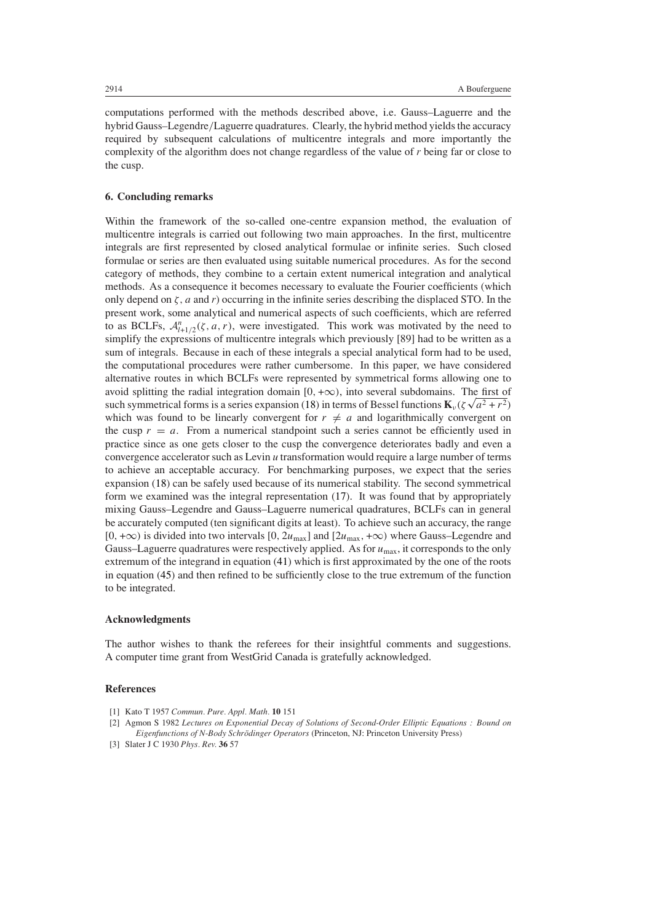computations performed with the methods described above, i.e. Gauss–Laguerre and the hybrid Gauss–Legendre*/*Laguerre quadratures. Clearly, the hybrid method yields the accuracy required by subsequent calculations of multicentre integrals and more importantly the complexity of the algorithm does not change regardless of the value of *r* being far or close to the cusp.

### **6. Concluding remarks**

Within the framework of the so-called one-centre expansion method, the evaluation of multicentre integrals is carried out following two main approaches. In the first, multicentre integrals are first represented by closed analytical formulae or infinite series. Such closed formulae or series are then evaluated using suitable numerical procedures. As for the second category of methods, they combine to a certain extent numerical integration and analytical methods. As a consequence it becomes necessary to evaluate the Fourier coefficients (which only depend on *ζ,a* and *r*) occurring in the infinite series describing the displaced STO. In the present work, some analytical and numerical aspects of such coefficients, which are referred to as BCLFs,  $A_{l+1/2}^n(\zeta, a, r)$ , were investigated. This work was motivated by the need to simplify the expressions of multicentre integrals which previously [89] had to be written as a sum of integrals. Because in each of these integrals a special analytical form had to be used, the computational procedures were rather cumbersome. In this paper, we have considered alternative routes in which BCLFs were represented by symmetrical forms allowing one to avoid splitting the radial integration domain  $[0, +\infty)$ , into several subdomains. The first of avoid splitting the radial integration domain  $[0, +\infty)$ , into several subdomains. The first of such symmetrical forms is a series expansion [\(18\)](#page-7-0) in terms of Bessel functions  $\mathbf{K}_{\nu}(\zeta \sqrt{a^2 + r^2})$ which was found to be linearly convergent for  $r \neq a$  and logarithmically convergent on the cusp  $r = a$ . From a numerical standpoint such a series cannot be efficiently used in practice since as one gets closer to the cusp the convergence deteriorates badly and even a convergence accelerator such as Levin *u* transformation would require a large number of terms to achieve an acceptable accuracy. For benchmarking purposes, we expect that the series expansion [\(18\)](#page-7-0) can be safely used because of its numerical stability. The second symmetrical form we examined was the integral representation [\(17\)](#page-6-0). It was found that by appropriately mixing Gauss–Legendre and Gauss–Laguerre numerical quadratures, BCLFs can in general be accurately computed (ten significant digits at least). To achieve such an accuracy, the range  $[0, +\infty)$  is divided into two intervals  $[0, 2u_{\text{max}}]$  and  $[2u_{\text{max}}, +\infty)$  where Gauss–Legendre and Gauss–Laguerre quadratures were respectively applied. As for  $u_{\text{max}}$ , it corresponds to the only extremum of the integrand in equation [\(41\)](#page-13-1) which is first approximated by the one of the roots in equation [\(45\)](#page-14-1) and then refined to be sufficiently close to the true extremum of the function to be integrated.

#### **Acknowledgments**

The author wishes to thank the referees for their insightful comments and suggestions. A computer time grant from WestGrid Canada is gratefully acknowledged.

## **References**

- [1] Kato T 1957 *Commun. Pure. Appl. Math.* **10** 151
- [2] Agmon S 1982 *Lectures on Exponential Decay of Solutions of Second-Order Elliptic Equations : Bound on Eigenfunctions of N-Body Schrodinger Operators ¨* (Princeton, NJ: Princeton University Press)
- [3] Slater J C 1930 *Phys. Rev.* **36** 57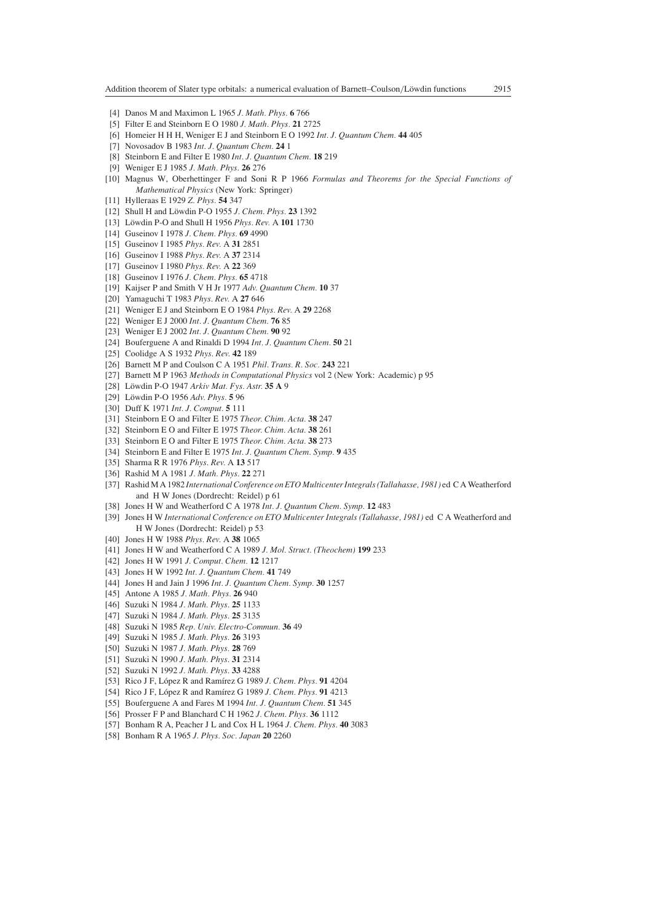- [4] Danos M and Maximon L 1965 *J. Math. Phys.* **6** 766
- [5] Filter E and Steinborn E O 1980 *J. Math. Phys.* **21** 2725
- [6] Homeier H H H, Weniger E J and Steinborn E O 1992 *Int. J. Quantum Chem.* **44** 405
- [7] Novosadov B 1983 *Int. J. Quantum Chem.* **24** 1
- [8] Steinborn E and Filter E 1980 *Int. J. Quantum Chem.* **18** 219
- [9] Weniger E J 1985 *J. Math. Phys.* **26** 276
- [10] Magnus W, Oberhettinger F and Soni R P 1966 *Formulas and Theorems for the Special Functions of Mathematical Physics* (New York: Springer)
- [11] Hylleraas E 1929 *Z. Phys.* **54** 347
- [12] Shull H and Löwdin P-O 1955 *J. Chem. Phys.* 23 1392
- [13] Löwdin P-O and Shull H 1956 Phys. Rev. A 101 1730
- [14] Guseinov I 1978 *J. Chem. Phys.* **69** 4990
- [15] Guseinov I 1985 *Phys. Rev.* A **31** 2851
- [16] Guseinov I 1988 *Phys. Rev.* A **37** 2314
- [17] Guseinov I 1980 *Phys. Rev.* A **22** 369
- [18] Guseinov I 1976 *J. Chem. Phys.* **65** 4718
- [19] Kaijser P and Smith V H Jr 1977 *Adv. Quantum Chem.* **10** 37
- [20] Yamaguchi T 1983 *Phys. Rev.* A **27** 646
- [21] Weniger E J and Steinborn E O 1984 *Phys. Rev.* A **29** 2268
- [22] Weniger E J 2000 *Int. J. Quantum Chem.* **76** 85
- [23] Weniger E J 2002 *Int. J. Quantum Chem.* **90** 92
- [24] Bouferguene A and Rinaldi D 1994 *Int. J. Quantum Chem.* **50** 21
- [25] Coolidge A S 1932 *Phys. Rev.* **42** 189
- [26] Barnett M P and Coulson C A 1951 *Phil. Trans. R. Soc.* **243** 221
- [27] Barnett M P 1963 *Methods in Computational Physics* vol 2 (New York: Academic) p 95
- [28] Löwdin P-O 1947 Arkiv Mat. Fys. Astr. 35 A 9
- [29] Löwdin P-O 1956 Adv. Phys. **5** 96
- [30] Duff K 1971 *Int. J. Comput.* **5** 111
- [31] Steinborn E O and Filter E 1975 *Theor. Chim. Acta.* **38** 247
- [32] Steinborn E O and Filter E 1975 *Theor. Chim. Acta.* **38** 261
- [33] Steinborn E O and Filter E 1975 *Theor. Chim. Acta.* **38** 273
- [34] Steinborn E and Filter E 1975 *Int. J. Quantum Chem. Symp.* **9** 435
- [35] Sharma R R 1976 *Phys. Rev.* A **13** 517
- [36] Rashid M A 1981 *J. Math. Phys.* **22** 271
- [37] Rashid M A 1982 *International Conference on ETO Multicenter Integrals (Tallahasse, 1981)* ed C A Weatherford and H W Jones (Dordrecht: Reidel) p 61
- [38] Jones H W and Weatherford C A 1978 *Int. J. Quantum Chem. Symp.* **12** 483
- [39] Jones H W *International Conference on ETO Multicenter Integrals (Tallahasse, 1981)* ed C A Weatherford and H W Jones (Dordrecht: Reidel) p 53
- [40] Jones H W 1988 *Phys. Rev.* A **38** 1065
- [41] Jones H W and Weatherford C A 1989 *J. Mol. Struct. (Theochem)* **199** 233
- [42] Jones H W 1991 *J. Comput. Chem.* **12** 1217
- [43] Jones H W 1992 *Int. J. Quantum Chem.* **41** 749
- [44] Jones H and Jain J 1996 *Int. J. Quantum Chem. Symp.* **30** 1257
- [45] Antone A 1985 *J. Math. Phys.* **26** 940
- [46] Suzuki N 1984 *J. Math. Phys.* **25** 1133
- [47] Suzuki N 1984 *J. Math. Phys.* **25** 3135
- [48] Suzuki N 1985 *Rep. Univ. Electro-Commun.* **36** 49
- [49] Suzuki N 1985 *J. Math. Phys.* **26** 3193
- [50] Suzuki N 1987 *J. Math. Phys.* **28** 769
- [51] Suzuki N 1990 *J. Math. Phys.* **31** 2314
- [52] Suzuki N 1992 *J. Math. Phys.* **33** 4288
- [53] Rico J F, López R and Ramírez G 1989 *J. Chem. Phys.* 91 4204
- [54] Rico J F, López R and Ramírez G 1989 *J. Chem. Phys.* 91 4213
- [55] Bouferguene A and Fares M 1994 *Int. J. Quantum Chem.* **51** 345
- [56] Prosser F P and Blanchard C H 1962 *J. Chem. Phys.* **36** 1112
- [57] Bonham R A, Peacher J L and Cox H L 1964 *J. Chem. Phys.* **40** 3083
- [58] Bonham R A 1965 *J. Phys. Soc. Japan* **20** 2260